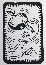WINNING TYT E TIVANY NAM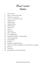Food 'waste'

*Index* 

- 1. food 'waste'
- 3. tips to avoid food waste
- 5. 'waste' not veg tips
- 6. ways to use leftover food
- 7. vegetable stock
- 8. vegetable soup
- 9. vegetable frittata
- 10. lentil flatbread
- 11. tomato sauce
- 12. chutney
- 13. dog biscuits
- 14. why compost?
- 15. hot composting
- 16. troubleshooting hot composting
- 17. cold composting
- 18. vermiculture
- 19. bokashi
- 20. bokashi troubleshooting
- 21. what to do with compost if you don't have a garden
- 22. glossary
- 23. resources
- 25. greencuisine trust information

greencuisinetrust.org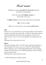## Food 'waste'

Globally we waste one third of the food produced for human consumption.

> The UK creates 15 million tonnes of food waste every year.

7 million tonnes of that food comes from households

50% of this is edible

When we waste food we are wasting soil & water

#### Soil

We rely on a very thin skin of soil on the surface of the earth to produce our food and sustain life. A third of the planet's land is severely degraded and fertile soil is being lost at the rate of 24bn tonnes a year. Our survival depends on looking after the soil.

Wasting food wastes precious soil.

#### Water

Research estimates 24% of all the water used for agriculture is lost through food waste every year. That's 45 trillion gallons. Water scarcity is one of the largest global risks in the coming decade. By 2025 half of the world's population will be living in water stressed areas. \*

Wasting food wastes precious water.

\* 2016 World Resource Institute statistics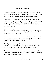# Food 'waste'

A massive amount of resources, mostly oil & water, goes into processing, packaging, and transporting food so when we waste food we are also squandering these embedded resources.

In addition, when we send food to the landfill, its anaerobic rotting creates methane, the second most common greenhouse gas, so our food-filled landfills are steadily aiding climate change. Landfills are the number two source of human-related methane emissions.

From an ethical standpoint, throwing away food is quite callous when you consider the number of people in the world who are under nourished or starving.

It makes no economic sense to waste food. Statistics show that the average UK household wastes nearly  $\sqrt{2500}$  worth of food yearly which could have been eaten.

Wasting food is a big problem, each and every one of us can contribute to its reduction, by being mindful about what we buy, how much we eat and what we do with our leftovers.

We should not think in terms of 'waste' when we think about food, every scrap can be used or recycled – nothing ever thrown away as a waste.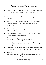Tips to avoid food 'waste'

- It helps if you are organised and meal plan. You don't have to be obsessive about this but it does help minimise leftovers.
- ♠ Check what you need before you go shopping & write a shopping list
- Don't fall into the trap of saving money by bulk buying if it is unrealistic that you are going to be able to use it.
- ♠ Don't avoid misshapen fruits & veg.
- ♠ Store your food properly, use glass containers so you can see what is in them.
- Keep your fridge organised, rotate your food so that last in is at the back, first in at the front.
- ♠ Get creative with your scraps & trimmings, turn them into, soup, chutney, muffins, dips & smoothies.
- ♠ Learn traditional methods of preservation– fermenting, drying & pickling.
- ♠ Learn to be flexible about recipe ingredients, substitute with what you have at hand rather than buying more ingredients.
- Go gleaning! Help avoid farm waste and join the gleaning network to rescue surplus fruit and veg.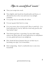Tips to avoid food 'waste'

- Turn your scraps into stock.
- ♠ Turn slightly stale bread into breadcrumbs and freeze, or alternatively dry in the oven and store in an airtight container.
- Use up ripe fruit in smoothies & sorbets.
- Use up veg past their best in a soup.
- Use your senses, does it look good? Does it smell ok? Is a food really past its 'use by' date & is food only good by the 'best before' date?
- ♠ Turn lemon peel into a seasoning. Cut into thick strips, remove any flesh, trim off excess pith & dry in a dehydrator or oven, grind and store in an airtight jar.
- Peel, chunk & freeze bananas that are on their way to becoming over ripe. Use in smoothies.
- Start composting there's a method & size to suit every household.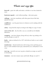## Waste not veg tips

broccoli – grate the stalks and make a coleslaw or cut into chunks & roast.

butternut squash – cook without peeling – skin tastes great.

cabbage – turn into sauerkraut, add other green leaves like kale, spinach & chard

cauliflower – use the green leaves in whatever you're making with the cauliflower.

celery – keep fresh & crisp by storing in the fridge in a jug of water.

corn on the cob – dry the silk to use as a cornsilk tea for bladder infections.

courgette – turn into chutney along with any other veg waiting to be used up. Recipe on card 12

herbs – make an infused oil or ACV with leftover herbs to use in salad dressings.

mushrooms – thread mushrooms with strong cotton and hang up to dry in a well ventilated warm spot, alternatively use a dehydrator or low oven.

root veg – turn left over root veg into a kimchi see recipe on card 10 in fermenting.

tomatoes – turn into tomato sauce and bottle. Recipe on card 11

greencuisinetrust.org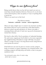Ways to use leftover food

Being careful about what you buy & how much you serve at meal times should minimise leftovers. However if you do have various bits & pieces, there are plenty of ways of putting them to good use.

There is no need ever to bin food.

#### The leftover mantra humans – animals – worms - micro-organisms

There are many simple ways to convert one meal into another. Hot dinner leftovers can be turned into cold salad lunches, leftover cooked veg and end pieces of cheese can make a stunning frittata and end of week raw veg can be fermented or turned into chutney.

Pet food is often full of the by-products of industrial farming. Try and source organic pet food which is a lot more expensive but supplementing with leftover scraps will help your purse! There's a recipe on card 13 for dog biscuit treats using leftover sweet potato & carrots.\*

Final leftovers can now be given to worms via the compost heap or wormery or micro-organisms via a bokashi bucket. The resulting compost will help keep soil fertile so that it can grow nutritious food.

\*do not feed garlic, onions, chives & raisins to dogs further info see resources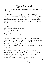Vegetable stock

This is a good way to make use of all your vegetable scraps and trimmings.

Keep a carton or ziplock bag in the freezer and add all your raw veg trimmings that are left after food preparation. Best veg are celery, carrot, leek, celeriac & tomatoes along with parsley stalks. Use sparingly potato skins, spinach, thyme, rosemary, avoid cruciferous vegetables and peppers. When your container is full you can make your stock.

You will need 500g veg scraps from the freezer 1 onion roughly chopped 1 bay leaf 6 peppercorns 1 piece of kombu (seaweed)

Place the scraps in a medium-size saucepan and cover with water. Add the onion, bay leaf, peppercorns & kombu. Slowly bring to the boil. Lower the heat and gently simmer for 1 hour. Strain the stock through a fine sieve. Remove the kombu which you can cut into slices and add to a grain dish and compost the vegetables.

Store the stock in the fridge for up to 5 days. Alternatively you can freeze the stock and the most convenient way to do this is in ice trays. Fill the trays then place in the freezer, when completely frozen crack the ice cubes into a large bowl, transfer to a zip-lock bags and pop in the freezer.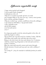Leftovers vegetable soup

1 large onion peeled and chopped 3 cloves garlic finely chopped 2 tablespoons olive oil 750g raw or cooked veg made up how you wish (for example 400g of any raw root veg – carrot, sweet potato, leeks, celeriac, parsnip, chopped. 350g any cooked veg – potato, cauliflower, broccoli, cabbage.) 1 tsp teaspoon chili flakes, 1 tsp ground cumin 1 litre vegetable stock salt & black pepper your favourite pesto serves 4

In a large pan gently cook the onion & garlic in the olive oil until they begin to soften.

Tip in all the raw veg and cook for a further 5 mins. Add the chili flakes and cumin, mix well then tip in the stock.

Bring to the boil, lower the heat and simmer for 15 minutes. Add the cooked veg, bring back to the boil and cook for a further 5 minutes.

Blitz the soup until smooth, season and warm through. Divide between 4 bowls and top each one with a dollop of pesto.

Not serving 4? – freeze the remainder in individual portions for another time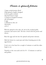Potato & spinach frittata

1 large cooked potato diced 250g spinach roughly chopped 2 cloves garlic crushed 25g hard cheese scraps 1 teaspoon chopped rosemary salt and pepper 6 eggs 1 tablespoon olive oil 25g butter. serves 4

Wilt the spinach in the olive oil, stir in the crushed garlic, rosemary and season well. Put into a bowl with the potato and cheese.

Beat the eggs and stir into the spinach and potato mixture.

Melt the butter in a sauté pan and when foaming pour in the egg mixture.

Cook over a low heat for a couple of minutes or until the sides begin to set.

Transfer to the oven and cook for  $10 - 12$  minutes or until set and golden.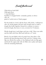Lentil flatbread

250g leftover lentil dahl 250g spelt flour  $\frac{1}{2}$  tsp chili flakes handful of chopped herbs -coriander, parsley or chives olive oil pinch of salt & twist of black pepper

Put the lentils in a bowl, add the flour, chili, herbs, 1 tablespoon olive oil, salt & pepper and mix with enough water to make a dough that holds together. Knead for a minute to create a smooth dough, then leave to rest, covered, for 15 minutes.

Divide dough into 6 and shape each into a ball. Dust your table and the balls with flour. Roll each ball into a 6" circle.

Brush a fry pan lightly with oil, gently heat, then place a flat bread in the pan pressing down well, cook for 1 minute, then flip over. Brush the surface of the flatbread with oil, flip again and brush the upper side with oil. Slide onto a plate and repeat with the remaining flatbreads.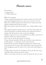

2k tomatoes 1 teaspoon salt 2 x 500ml kilner jars

Wash the tomatoes.

Using a sharp knife quarter the tomatoes and cut out the core and seeds dropping them into a sieve over a bowl as you do. Place the tomatoes quarters into the bowl of a processor and add the strained juice from the seeds.

Blitz the tomatoes then tip the puree into a large stainless steel pot.

Very gently, bring the tomato puree to the boil and simmer for about 30 minutes or until the mixture has reduced by about a quarter. Stir from time to time to prevent sticking

Sterilise your jars in a hot oven.(without any rubber seals) for 10 minutes whilst your mixture reduces.

Put ½ tsp of salt in the bottom of each jar.

Using a funnel and ladle, fill the jars with the tomato mixture, leaving about a  $\frac{1}{2}$  inch space at the top of the jar.

Fasten the lid securely, having first replaced any rubber seals.

Line the bottom of a pan with a dish towel to prevent the jars from banging around too much cover with water and bring to a boil.

Gently simmer the jars for 30 minutes. Turn off the heat. Very carefully remove the jars from the water.

Allow to cool store the jars in a cool, dry place for up to a year.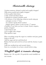# Ratatouille chutney

1k plum tomatoes, skinned, seeded and roughly chopped 500g onions, peeled and roughly chopped 4 cloves garlic, finely diced 2 chili, seeded and finely diced 1 tablespoon crushed coriander seeds 1.5k mixture of the following, whatever needs using up: aubergine cut into  $\frac{1}{2}$ " dice, any summer squash sliced or diced peppers (green, yellow or red) cut into  $\frac{1}{2}$ " squares a handful of any herb you have to hand- thyme, oregano, parsley, chopped 1 dessertspoon salt 16 fl oz apple cider vinegar 500g rapadura sugar

Place everything except the sugar in a stainless steel pan, gently bring to the boil.

Add the sugar and stir until dissolved.

Reduce the heat and cook for an hour until the chutney is quite thick.

Ladle into sterilised jars and securely fasten.

Store in a cool place for at least a month before using.

# Windfall apple & tomato chutney

Replace the 1.5k veg with 1.5k peeled & cored windfalls cut into chunks.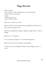Dog biscuits

250g oat flour (no oat flour? - blitz porridge oats to a fine powder) 100g cooked sweet potato 1 egg 100g grated carrot oven to 350ºF/180ºC

Place the oat flour in a bowl.

Mash or blitz the sweet potato & egg together and add to the flour with the grated carrot.

Mix all the ingredients together adding enough water to make a dough.

Roll out to ¼" thickness.

Cut out shapes and place on a buttered baking tray.

Bake in the oven for 25 minutes until golden.

Cool & store in an airtight container in the fridge for up to a week.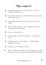Why compost?

- Composting connects us to the life cycle of food, to compost and back to soil.
- Composting transforms your kitchen waste into a nutrient rich food for the soil.
- Composting helps reduce the amount of food sent to landfill.
- Many councils offer green waste collections but home composting avoids transport.
- ♥ It's easy to make and use.
- ♥ Compost helps to retain soil moisture so it helps save water.
- ♥ Compost improves soil structure so better quality vegetables are grown.
- ♥ Its a great way for children to learn.
- ♥ There are different methods of composting here we offer information on hot & cold heaps, vermiculture & bokashi,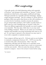# Hot composting

A hot pile needs to be built balancing carbon-rich materials, or"browns," and nitrogen-rich materials, or "greens." Carbon materials are dried leaves, straw, paper, cardboard and twigs. Nitrogen materials are vegetable and fruit trimmings, kitchen scraps and grass mowings. Aim for a balance of about 50:50 or perhaps a little more green than brown as this will contribute to a correct level of moisture, warmth, structure & aeration. To get started either purchase a bin\* build a wooden frame or find a spot for a free standing heap of around 3 cubic feet. There are different approaches but basically you need to gather your materials. This may take a little time so you may need some holding containers. When you are ready toss everything together and assemble your heap moistening with water as you go. If your heap is exposed to the elements you may want to cover with a tarpaulin to maintain moisture.

Your compost will heat up in 24 – 36 hours and you are looking to maintain a temperature between 145 – 155ºF (you may like to monitor this with a thermometer). After 7 days the temperature will drop turn the heap over to introduce more oxygen and heat it back up, repeat once a week or as necessary over the next month. After six weeks the mixture will have turned to compost – leave it for at least 2 weeks before using.

\*see resources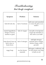# Troubleshooting hot heap compost

| Symptom                                                      | Problem                    | Solution                                                                            |
|--------------------------------------------------------------|----------------------------|-------------------------------------------------------------------------------------|
| feels & looks dry                                            | lack of moisture           | add water and remember<br>to water the pile as you<br>build it                      |
| matted ingredients;<br>clumps of leaves,<br>sawdust or grass | lack of oxygen             | turn pile to incorporate<br>oxygen & remember to<br>mix well as you build           |
| heap doesn't heat up<br>and is slow to<br>break down         | lack of nitrogen           | add high-nitrogen<br>material: grass cuttings,<br>kitchen scraps, coffee<br>grounds |
| soggy heap                                                   | too few brown<br>materials | add paper, cardboard, ash<br>or soil; ensure your heap<br>is built on soil          |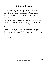# Cold composting

A cold pile requires minimal effort but the drawback is it may take a year or two before it produces compost you can use in your garden. It's an add as you have the material pile but a perfect option for those with little spare time for turning or being attentive.

Do not put weeds that have gone to seed or diseased plants into the compost. Without high temperatures to kill off weed seeds or disease pathogens, you will be spreading them on your garden.

You can throw vegetable peelings, fruit waste, plant prunings, grass cuttings, cardboard, paper, wood ash and fallen leaves onto your cold pile which works best if contained in a compost bin.\*

\*see resources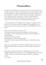## Vermiculture

Vermiculture takes place in a wormery. It is a self contained unit that usually consists of at least two compartments; a lower collection sump for the liquid and an upper composting area where the kitchen waste goes in and the worms live. There can be several linked composting areas which gives you a succession of trays in various stages of decomposition. Whatever the design the principle is the same, in return for food the worms create nutrient rich worm casts.

A natural by-product of making worm compost is a liquid known as worm tea. The worm tea must be siphoned off regularly it is very concentrated, it can be diluted and used as a liquid fertiliser for your plants

The best foods to feed your worms are:

Fruit peelings and cores with the exception of all citrus fruit Vegetables, cut into smaller pieces if large, with the exception of onion & garlic.

Tea leaves & coffee grounds.

Small quantity of leaves and waste paper

No food of animal origin should be used and cooked food is best avoided.

There are a wide range of wormeries available,\* the size you choose will be determined by the amount of waste available to feed your worms.

The wormery needs to be sited in a sheltered spot, out of direct sunlight and protected, with a cover or by bringing inside, in very cold weather. Garden, doorstep, shed, garage or balcony are all good options.

\* see resources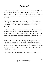## Bokashi

If it's just not possible to turn your kitchen scraps and leftovers into another meal then bokashi composting is a brilliant alternative. With bokashi all your waste - vegetables, dairy, meat, fish, raw or cooked, can all be used to make compost in the kitchen.

The bokashi technique is an anaerobic form of fermentation created by using effective micro-organisms. Effective microorganisms (EM) are a mixed culture of beneficial natural organisms.

EM are infused into organic matter like rice, wheat or oat bran to make bokashi bran, left to multiply and then dried.\* The bran is layered into the bokashi bucket\* with your leftover food. Inert until moistened, the micro-organisms will come alive in the bucket and work their transformative magic.

Once the bin is full it is set aside for 14 days by which time the waste in the tub should be thoroughly pickled with a slight whiff of fermentation. It can then be dug into a fallow patch of the garden or layered into containers either way it is still very acidic at this stage so plant roots should not come into contact with it for 4 weeks.

\*see resources where to buy bokashi buckets & bran or how to make bokashi bran.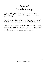Bokashi Troubleshooting

A foul smell indicates that something has gone wrong. This diagnosis is a bit tricky until you get to know to how bokashi should smell!

Basically it's the difference between a "sweet and sour odor," indicating fermentation, and a "foul odor," indicating decay.

Bokashi should not smell like other sorts of anaerobic decay because the inoculating microbes — yeasts, producers of lactic acids, and others — do not produce the sulfuric acid that gives outdoor anaerobic piles their characteristic aroma.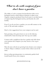# What to do with compost if you don't have a garden

The ability of soil to sustain food production relies on its biological activity, which delivers nutrients to plant roots. Organic compost, produced from food waste, is an ideal means of improving this biological activity, and thereby the soil's fertility.

Even if you do not have a garden, you can still connect to the cycle of life and make compost.

Here's a few suggestions how your compost can be used.

Start growing a few green leaves to eat on the balcony, windowsill or back doorstep and liven up your salads.

Connect with a neighbour that has a garden and offer them your nutrient rich compost (you may receive a few veg in return!)

More & more schools are growing food, donate your compost to them. Help co-ordinate a system where others can do the same.

Join an urban growing project or community garden both would benefit from your compost.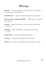## Glossary

**bokashi**  $\sim$  bokashi composting is an anaerobic process using effective micro-organisms to break down waste

**bokashi bran**  $\sim$  a medium inoculated with effective microorganisms

effective micro-organisms (EM)  $\sim$  a liquid mixture of beneficial micr-organisms

**hot pile**  $\sim$  compost heap turned to create heat, breaks down quickly ( 2 months)

cold pile  $\sim$  compost made without turning breaks down slowly  $(1 - 2$  years)

**vermiculture**  $\sim$  process of composting using worms

**wormery**  $\sim$  container for recycling food waste with worms

**worm tea**  $\sim$  worm tea is the liquid co-product of worm cast compost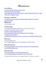

#### Food Waste

www.friendsoftheearth.uk/food-waste www.wrap.org.uk/food-drink www.wrap.org.uk/sites/files/wrap/A\_Food\_Waste\_Recycling\_Action Plan\_For\_England\_0.pdf

#### Storage containers

www.pyrexuk.com/range/borosilicate-glass/glass-food-storagecontainers.html Kilner jars www.kilnerjar.co.uk

### Composting

www.charlesdowding.co.uk/advice-on-making-compost/ www.gardenorganic.org.uk/compost www.the compostingpeople.co.uk www.organiccatalogue.com/feeding-soil-care/makingcompost/compost-bins/ www.gardenersworld.com/how-to/diy/how-to-build-a-compost-bin/

### Wormery

www.wormcity.co.uk www.wigglywigglers.co.uk/composting/wormeries.html

#### Bokashi buckets

www.wigglywigglers.co.uk/bokashi-value-pack-18-litre-black kit. www.bokashidirect.co.uk

#### Bokashi bran

www.bokashidirect.co.uk/bokashi-bran.html www.wigglywigglers.co.uk/bokashi-active-bran.html

5k bokashi bran will last the average family of 4 about 6 months

greencuisinetrust.org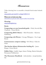## Resources

Video showing how to assemble a bokashi bin & make bokashi bran

 $www.vouthe.com/watch?v=-w3jajq5-tM\&v=5s$ 

What not to feed your dog www.battersea.org.uk/pet-advice/dog-care-advice/toxic-food-dogs

Gleaning www.feedbackglobal.org

### Books

Composting: an easy household guide **-** Nicky Scott & Roy Chadwick - Green Books

Composting (Bob's Basics) - Bob Flowerdew - Skyhorse Publishing

Composting with Worms **-** George Pilkington - Eco Logic Books

Commonsense compost making **-** M E Bruce- Faber & Faber

The biochar debate (Schumacher briefing 16) - James Bruges- Green Books

Edible Cities **-** Judith Anger, Immo Fiebrig, Martin Schnyder - Permanent Publications

The Humanure Handbook **-** John Jenkins - Joseph Jenkins, Inc